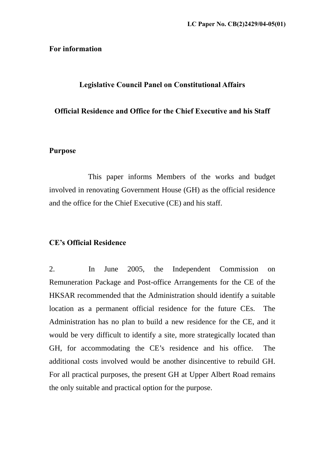## **For information**

# **Legislative Council Panel on Constitutional Affairs**

## **Official Residence and Office for the Chief Executive and his Staff**

## **Purpose**

 This paper informs Members of the works and budget involved in renovating Government House (GH) as the official residence and the office for the Chief Executive (CE) and his staff.

# **CE's Official Residence**

2. In June 2005, the Independent Commission on Remuneration Package and Post-office Arrangements for the CE of the HKSAR recommended that the Administration should identify a suitable location as a permanent official residence for the future CEs. The Administration has no plan to build a new residence for the CE, and it would be very difficult to identify a site, more strategically located than GH, for accommodating the CE's residence and his office. The additional costs involved would be another disincentive to rebuild GH. For all practical purposes, the present GH at Upper Albert Road remains the only suitable and practical option for the purpose.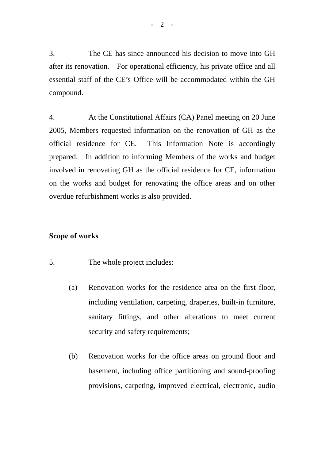3. The CE has since announced his decision to move into GH after its renovation. For operational efficiency, his private office and all essential staff of the CE's Office will be accommodated within the GH compound.

4. At the Constitutional Affairs (CA) Panel meeting on 20 June 2005, Members requested information on the renovation of GH as the official residence for CE. This Information Note is accordingly prepared. In addition to informing Members of the works and budget involved in renovating GH as the official residence for CE, information on the works and budget for renovating the office areas and on other overdue refurbishment works is also provided.

### **Scope of works**

- 5. The whole project includes:
	- (a) Renovation works for the residence area on the first floor, including ventilation, carpeting, draperies, built-in furniture, sanitary fittings, and other alterations to meet current security and safety requirements;
	- (b) Renovation works for the office areas on ground floor and basement, including office partitioning and sound-proofing provisions, carpeting, improved electrical, electronic, audio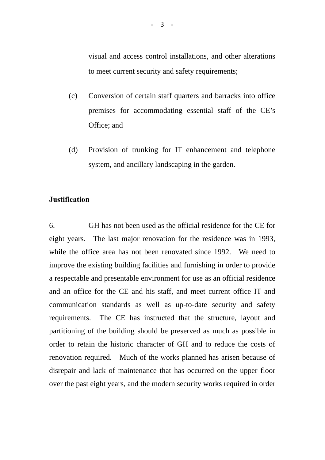visual and access control installations, and other alterations to meet current security and safety requirements;

- (c) Conversion of certain staff quarters and barracks into office premises for accommodating essential staff of the CE's Office; and
- (d) Provision of trunking for IT enhancement and telephone system, and ancillary landscaping in the garden.

### **Justification**

6. GH has not been used as the official residence for the CE for eight years. The last major renovation for the residence was in 1993, while the office area has not been renovated since 1992. We need to improve the existing building facilities and furnishing in order to provide a respectable and presentable environment for use as an official residence and an office for the CE and his staff, and meet current office IT and communication standards as well as up-to-date security and safety requirements. The CE has instructed that the structure, layout and partitioning of the building should be preserved as much as possible in order to retain the historic character of GH and to reduce the costs of renovation required. Much of the works planned has arisen because of disrepair and lack of maintenance that has occurred on the upper floor over the past eight years, and the modern security works required in order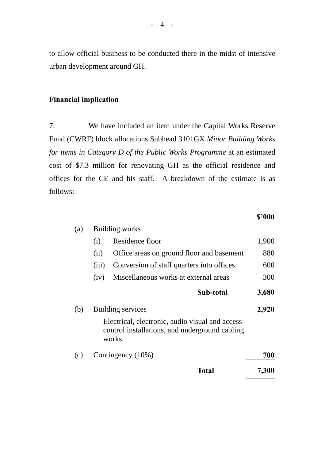to allow official business to be conducted there in the midst of intensive urban development around GH.

# **Financial implication**

7. We have included an item under the Capital Works Reserve Fund (CWRF) block allocations Subhead 3101GX *Minor Building Works for items in Category D of the Public Works Programme* at an estimated cost of \$7.3 million for renovating GH as the official residence and offices for the CE and his staff. A breakdown of the estimate is as follows:

### **\$'000**

| (a) | <b>Building works</b>                                                                                      |                                           |       |
|-----|------------------------------------------------------------------------------------------------------------|-------------------------------------------|-------|
|     | (i)                                                                                                        | Residence floor                           | 1,900 |
|     | (ii)                                                                                                       | Office areas on ground floor and basement | 880   |
|     | (iii)                                                                                                      | Conversion of staff quarters into offices | 600   |
|     | (iv)                                                                                                       | Miscellaneous works at external areas     | 300   |
|     |                                                                                                            | Sub-total                                 | 3,680 |
| (b) | Building services                                                                                          |                                           | 2,920 |
|     | Electrical, electronic, audio visual and access<br>control installations, and underground cabling<br>works |                                           |       |
| (c) | Contingency (10%)                                                                                          |                                           | 700   |
|     |                                                                                                            | Total                                     | 7,300 |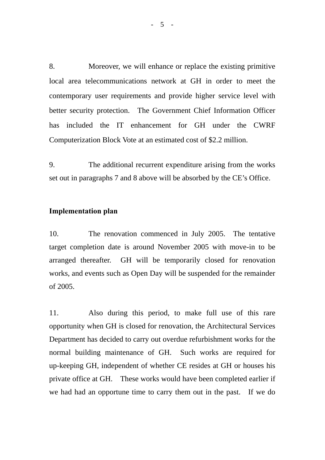8. Moreover, we will enhance or replace the existing primitive local area telecommunications network at GH in order to meet the contemporary user requirements and provide higher service level with better security protection. The Government Chief Information Officer has included the IT enhancement for GH under the CWRF Computerization Block Vote at an estimated cost of \$2.2 million.

9. The additional recurrent expenditure arising from the works set out in paragraphs 7 and 8 above will be absorbed by the CE's Office.

### **Implementation plan**

10. The renovation commenced in July 2005. The tentative target completion date is around November 2005 with move-in to be arranged thereafter. GH will be temporarily closed for renovation works, and events such as Open Day will be suspended for the remainder of 2005.

11. Also during this period, to make full use of this rare opportunity when GH is closed for renovation, the Architectural Services Department has decided to carry out overdue refurbishment works for the normal building maintenance of GH. Such works are required for up-keeping GH, independent of whether CE resides at GH or houses his private office at GH. These works would have been completed earlier if we had had an opportune time to carry them out in the past. If we do